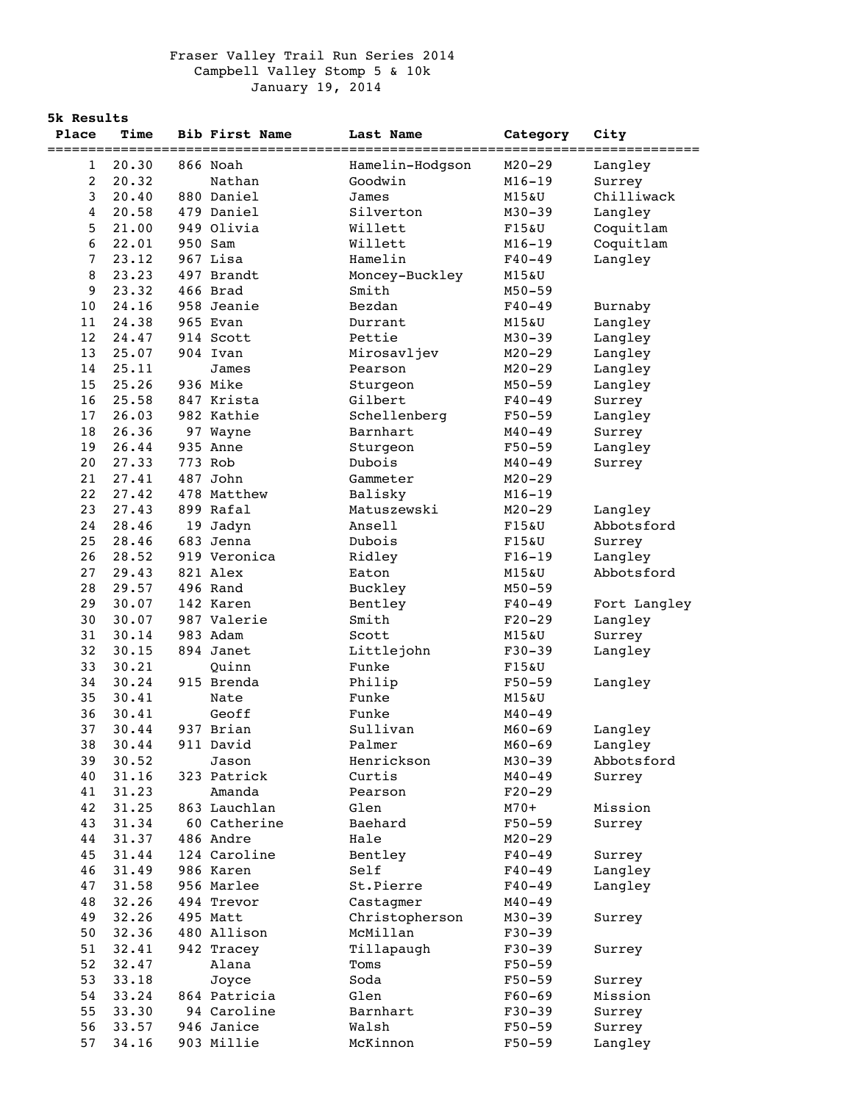## Fraser Valley Trail Run Series 2014 Campbell Valley Stomp 5 & 10k January 19, 2014

**5k Results**

| Place | <b>Time</b>    | <b>Bib First Name</b>        | Last Name               | Category               | City                  |
|-------|----------------|------------------------------|-------------------------|------------------------|-----------------------|
| 1     | 20.30          | ================<br>866 Noah | Hamelin-Hodgson         | ========<br>$M20 - 29$ | ==========<br>Langley |
| 2     | 20.32          | Nathan                       | Goodwin                 | $M16 - 19$             | Surrey                |
| 3     | 20.40          | 880 Daniel                   | James                   | M15&U                  | Chilliwack            |
| 4     | 20.58          | 479 Daniel                   | Silverton               | $M30 - 39$             | Langley               |
| 5     | 21.00          | 949 Olivia                   | Willett                 |                        | Coquitlam             |
| 6     | 22.01          | 950 Sam                      | Willett                 | F15&U<br>$M16 - 19$    |                       |
|       |                |                              |                         |                        | Coquitlam             |
| 7     | 23.12          | 967 Lisa<br>497 Brandt       | Hamelin                 | $F40 - 49$             | Langley               |
| 8     | 23.23<br>23.32 |                              | Moncey-Buckley<br>Smith | M15&U                  |                       |
| 9     |                | 466 Brad                     |                         | $M50 - 59$             |                       |
| 10    | 24.16          | 958 Jeanie                   | Bezdan                  | $F40 - 49$             | Burnaby               |
| 11    | 24.38          | 965 Evan                     | Durrant                 | M15&U                  | Langley               |
| 12    | 24.47          | 914 Scott                    | Pettie                  | $M30 - 39$             | Langley               |
| 13    | 25.07          | 904 Ivan                     | Mirosavljev             | $M20 - 29$             | Langley               |
| 14    | 25.11          | James                        | Pearson                 | $M20 - 29$             | Langley               |
| 15    | 25.26          | 936 Mike                     | Sturgeon                | $M50 - 59$             | Langley               |
| 16    | 25.58          | 847 Krista                   | Gilbert                 | $F40 - 49$             | Surrey                |
| 17    | 26.03          | 982 Kathie                   | Schellenberg            | $F50 - 59$             | Langley               |
| 18    | 26.36          | 97 Wayne                     | Barnhart                | $M40 - 49$             | Surrey                |
| 19    | 26.44          | 935 Anne                     | Sturgeon                | $F50 - 59$             | Langley               |
| 20    | 27.33          | 773 Rob                      | Dubois                  | $M40 - 49$             | Surrey                |
| 21    | 27.41          | 487 John                     | Gammeter                | $M20 - 29$             |                       |
| 22    | 27.42          | 478 Matthew                  | Balisky                 | $M16 - 19$             |                       |
| 23    | 27.43          | 899 Rafal                    | Matuszewski             | $M20 - 29$             | Langley               |
| 24    | 28.46          | 19 Jadyn                     | Ansell                  | F15&U                  | Abbotsford            |
| 25    | 28.46          | 683 Jenna                    | Dubois                  | F15&U                  | Surrey                |
| 26    | 28.52          | 919 Veronica                 | Ridley                  | $F16-19$               | Langley               |
| 27    | 29.43          | 821 Alex                     | Eaton                   | M15&U                  | Abbotsford            |
| 28    | 29.57          | 496 Rand                     | Buckley                 | $M50 - 59$             |                       |
| 29    | 30.07          | 142 Karen                    | Bentley                 | $F40 - 49$             | Fort Langley          |
| 30    | 30.07          | 987 Valerie                  | Smith                   | $F20-29$               | Langley               |
| 31    | 30.14          | 983 Adam                     | Scott                   | M15&U                  | Surrey                |
| 32    | 30.15          | 894 Janet                    | Littlejohn              | $F30-39$               | Langley               |
| 33    | 30.21          | Ouinn                        | Funke                   | F15&U                  |                       |
| 34    | 30.24          | 915 Brenda                   | Philip                  | $F50 - 59$             | Langley               |
| 35    | 30.41          | Nate                         | Funke                   | M15&U                  |                       |
| 36    | 30.41          | Geoff                        | Funke                   | $M40 - 49$             |                       |
| 37    | 30.44          | 937 Brian                    | Sullivan                | $M60 - 69$             | Langley               |
| 38    | 30.44          | 911 David                    | Palmer                  | $M60 - 69$             | Langley               |
| 39    | 30.52          | Jason                        | Henrickson              | $M30 - 39$             | Abbotsford            |
| 40    | 31.16          | 323 Patrick                  | Curtis                  | $M40 - 49$             | Surrey                |
| 41    | 31.23          | Amanda                       | Pearson                 | $F20-29$               |                       |
| 42    | 31.25          | 863 Lauchlan                 | Glen                    | $M70+$                 | Mission               |
| 43    | 31.34          | 60 Catherine                 | Baehard                 | $F50 - 59$             | Surrey                |
| 44    | 31.37          | 486 Andre                    | Hale                    | $M20 - 29$             |                       |
| 45    | 31.44          | 124 Caroline                 | Bentley                 | $F40 - 49$             | Surrey                |
| 46    | 31.49          | 986 Karen                    | Self                    | $F40 - 49$             | Langley               |
| 47    | 31.58          | 956 Marlee                   | St.Pierre               | $F40 - 49$             | Langley               |
| 48    | 32.26          | 494 Trevor                   | Castagmer               | $M40 - 49$             |                       |
| 49    | 32.26          | 495 Matt                     | Christopherson          | $M30 - 39$             | Surrey                |
| 50    | 32.36          | 480 Allison                  | McMillan                | $F30-39$               |                       |
| 51    | 32.41          | 942 Tracey                   | Tillapaugh              | $F30-39$               | Surrey                |
| 52    | 32.47          | Alana                        | Toms                    | $F50 - 59$             |                       |
| 53    | 33.18          | Joyce                        | Soda                    | $F50 - 59$             | Surrey                |
| 54    | 33.24          | 864 Patricia                 | Glen                    | $F60 - 69$             | Mission               |
| 55    | 33.30          | 94 Caroline                  | Barnhart                | $F30-39$               | Surrey                |
| 56    | 33.57          | 946 Janice                   | Walsh                   | $F50 - 59$             | Surrey                |
| 57    | 34.16          | 903 Millie                   | McKinnon                | $F50 - 59$             | Langley               |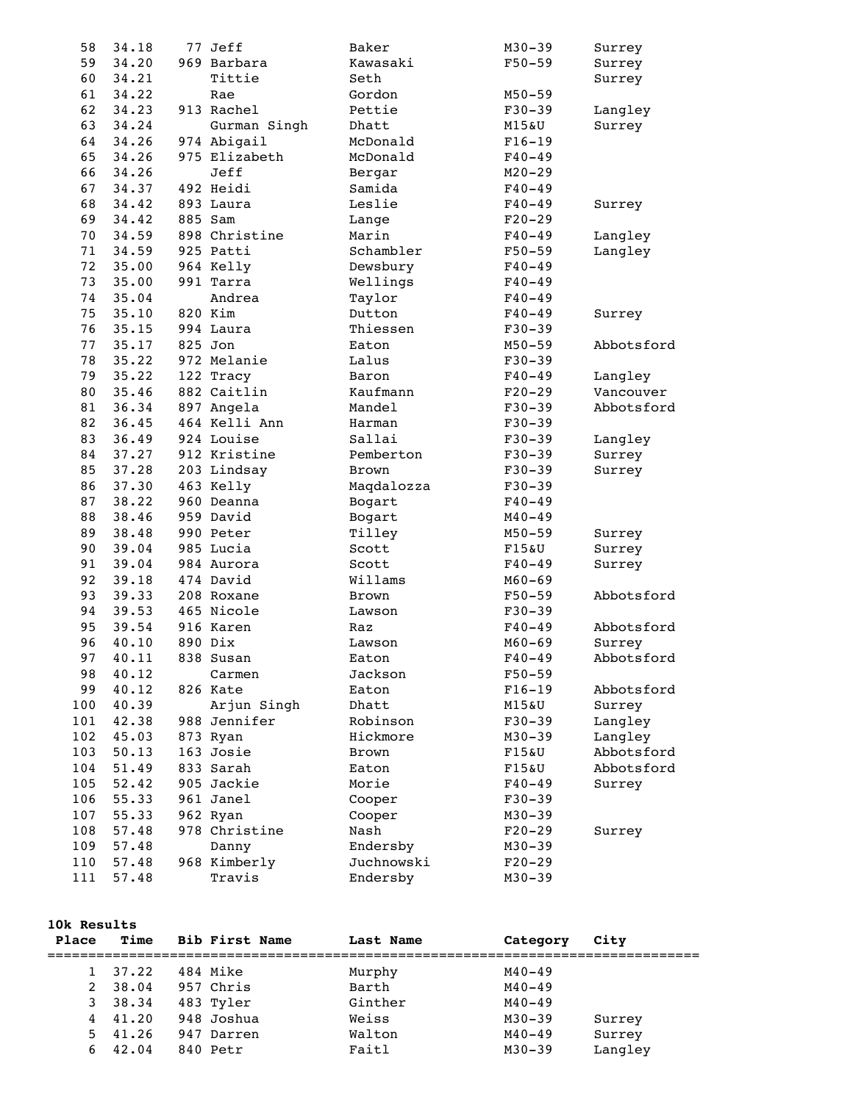| 58  | 34.18 | 77 Jeff       | Baker        | $M30 - 39$             | Surrey     |
|-----|-------|---------------|--------------|------------------------|------------|
| 59  | 34.20 | 969 Barbara   | Kawasaki     | $F50 - 59$             | Surrey     |
| 60  | 34.21 | Tittie        | Seth         |                        | Surrey     |
| 61  | 34.22 | Rae           | Gordon       | $M50 - 59$             |            |
| 62  | 34.23 | 913 Rachel    | Pettie       | $F30 - 39$             | Langley    |
| 63  | 34.24 | Gurman Singh  | Dhatt        | <b>M15&amp;U</b>       | Surrey     |
| 64  | 34.26 | 974 Abigail   | McDonald     | $F16-19$               |            |
| 65  | 34.26 | 975 Elizabeth | McDonald     | $F40 - 49$             |            |
| 66  | 34.26 | Jeff          | Bergar       | $M20 - 29$             |            |
| 67  | 34.37 | 492 Heidi     | Samida       | $F40 - 49$             |            |
| 68  | 34.42 | 893 Laura     | Leslie       | $F40 - 49$             | Surrey     |
| 69  | 34.42 | 885 Sam       | Lange        | $F20-29$               |            |
| 70  | 34.59 | 898 Christine | Marin        | $F40 - 49$             | Langley    |
| 71  | 34.59 | 925 Patti     | Schambler    | $F50 - 59$             | Langley    |
| 72  | 35.00 | 964 Kelly     | Dewsbury     | $F40 - 49$             |            |
|     |       | 991 Tarra     |              |                        |            |
| 73  | 35.00 |               | Wellings     | $F40 - 49$             |            |
| 74  | 35.04 | Andrea        | Taylor       | $F40 - 49$             |            |
| 75  | 35.10 | 820 Kim       | Dutton       | $F40 - 49$             | Surrey     |
| 76  | 35.15 | 994 Laura     | Thiessen     | $F30-39$               |            |
| 77  | 35.17 | 825 Jon       | Eaton        | $M50 - 59$             | Abbotsford |
| 78  | 35.22 | 972 Melanie   | Lalus        | $F30-39$               |            |
| 79  | 35.22 | 122 Tracy     | Baron        | $F40 - 49$             | Langley    |
| 80  | 35.46 | 882 Caitlin   | Kaufmann     | $F20-29$               | Vancouver  |
| 81  | 36.34 | 897 Angela    | Mandel       | $F30-39$               | Abbotsford |
| 82  | 36.45 | 464 Kelli Ann | Harman       | $F30 - 39$             |            |
| 83  | 36.49 | 924 Louise    | Sallai       | $F30-39$               | Langley    |
| 84  | 37.27 | 912 Kristine  | Pemberton    | $F30-39$               | Surrey     |
| 85  | 37.28 | 203 Lindsay   | <b>Brown</b> | $F30-39$               | Surrey     |
| 86  | 37.30 | 463 Kelly     | Maqdalozza   | $F30-39$               |            |
| 87  | 38.22 | 960 Deanna    | Bogart       | $F40 - 49$             |            |
| 88  | 38.46 | 959 David     | Bogart       | $M40 - 49$             |            |
| 89  | 38.48 | 990 Peter     | Tilley       | $M50 - 59$             | Surrey     |
| 90  | 39.04 | 985 Lucia     | Scott        | <b>F15&amp;U</b>       | Surrey     |
| 91  | 39.04 | 984 Aurora    | Scott        | $F40 - 49$             | Surrey     |
| 92  | 39.18 | 474 David     | Willams      | $M60 - 69$             |            |
| 93  | 39.33 | 208 Roxane    | <b>Brown</b> | $F50 - 59$             | Abbotsford |
| 94  | 39.53 | 465 Nicole    | Lawson       | $F30 - 39$             |            |
| 95  | 39.54 | 916 Karen     | Raz          | $F40 - 49$             | Abbotsford |
| 96  | 40.10 | 890 Dix       | Lawson       | $M60 - 69$             | Surrey     |
| 97  | 40.11 | 838 Susan     | Eaton        | $F40 - 49$             | Abbotsford |
| 98  | 40.12 | Carmen        | Jackson      | $F50 - 59$             |            |
| 99  | 40.12 | 826 Kate      | Eaton        | $F16-19$               | Abbotsford |
| 100 | 40.39 | Arjun Singh   | Dhatt        | M15&U                  | Surrey     |
| 101 | 42.38 | 988 Jennifer  | Robinson     | $F30-39$               | Langley    |
| 102 | 45.03 | 873 Ryan      | Hickmore     | $M30 - 39$             | Langley    |
| 103 | 50.13 | 163 Josie     | Brown        | F15&U                  | Abbotsford |
| 104 | 51.49 | 833 Sarah     | Eaton        | F15&U                  | Abbotsford |
| 105 | 52.42 | 905 Jackie    | Morie        | $F40 - 49$             | Surrey     |
| 106 | 55.33 | 961 Janel     |              |                        |            |
| 107 | 55.33 | 962 Ryan      | Cooper       | $F30-39$<br>$M30 - 39$ |            |
|     |       |               | Cooper       |                        |            |
| 108 | 57.48 | 978 Christine | Nash         | $F20-29$               | Surrey     |
| 109 | 57.48 | Danny         | Endersby     | $M30 - 39$             |            |
| 110 | 57.48 | 968 Kimberly  | Juchnowski   | $F20-29$               |            |
| 111 | 57.48 | Travis        | Endersby     | $M30 - 39$             |            |

## **10k Results**

| IUA RESUILS  |           |                |           |            |         |  |
|--------------|-----------|----------------|-----------|------------|---------|--|
| Place        | Time      | Bib First Name | Last Name | Category   | City    |  |
| $\mathbf{1}$ | 37.22     | 484 Mike       | Murphy    | $M40 - 49$ |         |  |
| 2            | 38.04     | 957 Chris      | Barth     | $M40 - 49$ |         |  |
| 3            | 38.34     | 483 Tyler      | Ginther   | $M40 - 49$ |         |  |
|              | 4, 41, 20 | 948 Joshua     | Weiss     | $M30 - 39$ | Surrey  |  |
| 5.           | 41.26     | 947 Darren     | Walton    | $M40 - 49$ | Surrey  |  |
| 6.           | 42.04     | 840 Petr       | Faitl     | $M30 - 39$ | Langley |  |
|              |           |                |           |            |         |  |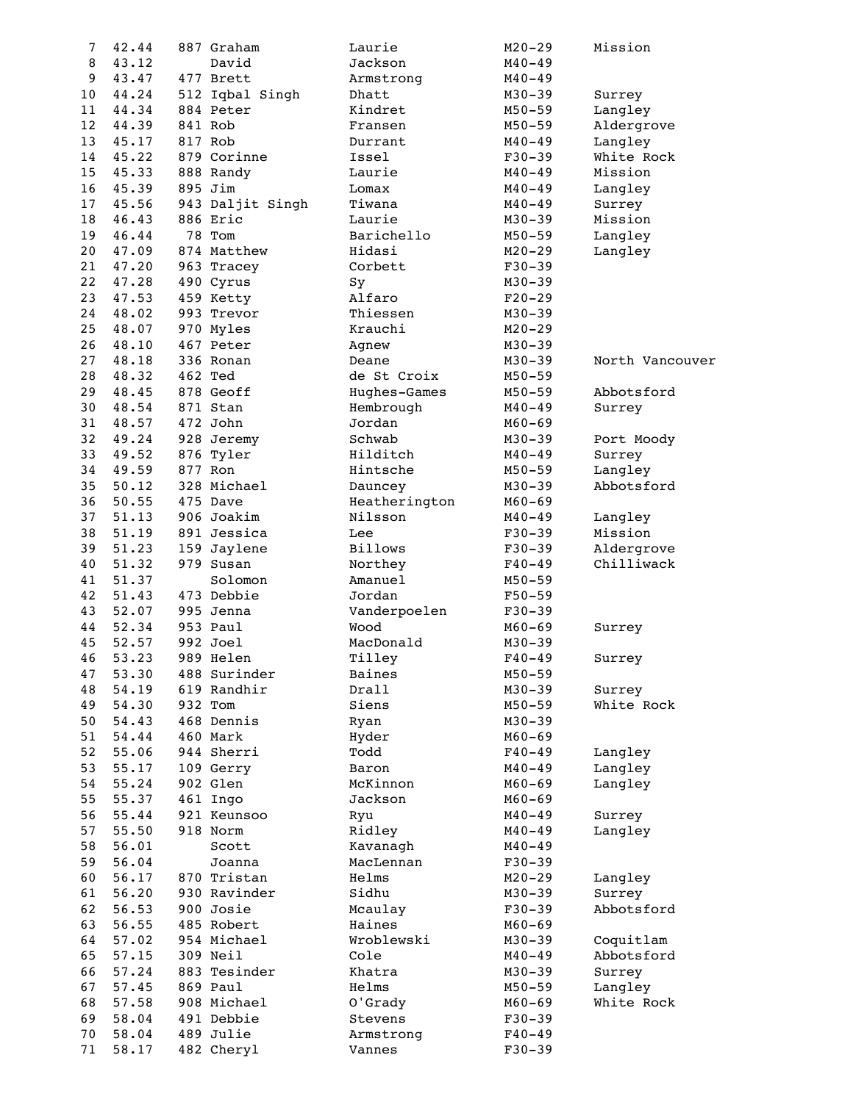| 7  | 42.44 | 887 Graham       | Laurie         | $M20 - 29$ | Mission         |
|----|-------|------------------|----------------|------------|-----------------|
| 8  | 43.12 | David            | Jackson        | $M40 - 49$ |                 |
| 9  | 43.47 | 477 Brett        | Armstrong      | $M40 - 49$ |                 |
| 10 | 44.24 | 512 Iqbal Singh  | Dhatt          | $M30 - 39$ | Surrey          |
| 11 | 44.34 | 884 Peter        | Kindret        | $M50 - 59$ | Langley         |
|    |       |                  |                |            |                 |
| 12 | 44.39 | 841 Rob          | Fransen        | $M50 - 59$ | Aldergrove      |
| 13 | 45.17 | 817 Rob          | Durrant        | $M40 - 49$ | Langley         |
| 14 | 45.22 | 879 Corinne      | Issel          | $F30-39$   | White Rock      |
| 15 | 45.33 | 888 Randy        | Laurie         | $M40 - 49$ | Mission         |
| 16 | 45.39 | 895 Jim          | Lomax          | $M40 - 49$ | Langley         |
| 17 | 45.56 | 943 Daljit Singh | Tiwana         | $M40 - 49$ | Surrey          |
| 18 | 46.43 | 886 Eric         | Laurie         | $M30 - 39$ | Mission         |
| 19 | 46.44 | 78 Tom           | Barichello     | $M50 - 59$ | Langley         |
| 20 | 47.09 | 874 Matthew      | Hidasi         | $M20 - 29$ | Langley         |
| 21 | 47.20 | 963 Tracey       | Corbett        | $F30-39$   |                 |
| 22 | 47.28 | 490 Cyrus        | Sy             | $M30 - 39$ |                 |
| 23 | 47.53 | 459 Ketty        | Alfaro         | $F20-29$   |                 |
| 24 |       |                  | Thiessen       | $M30 - 39$ |                 |
|    | 48.02 | 993 Trevor       |                |            |                 |
| 25 | 48.07 | 970 Myles        | Krauchi        | $M20 - 29$ |                 |
| 26 | 48.10 | 467 Peter        | Agnew          | $M30 - 39$ |                 |
| 27 | 48.18 | 336 Ronan        | Deane          | $M30 - 39$ | North Vancouver |
| 28 | 48.32 | 462 Ted          | de St Croix    | $M50 - 59$ |                 |
| 29 | 48.45 | 878 Geoff        | Hughes-Games   | $M50 - 59$ | Abbotsford      |
| 30 | 48.54 | 871 Stan         | Hembrough      | $M40 - 49$ | Surrey          |
| 31 | 48.57 | 472 John         | Jordan         | $M60 - 69$ |                 |
| 32 | 49.24 | 928 Jeremy       | Schwab         | $M30 - 39$ | Port Moody      |
| 33 | 49.52 | 876 Tyler        | Hilditch       | $M40 - 49$ | Surrey          |
| 34 | 49.59 | 877 Ron          | Hintsche       | $M50 - 59$ | Langley         |
| 35 | 50.12 | 328 Michael      | Dauncey        | $M30 - 39$ | Abbotsford      |
| 36 | 50.55 | 475 Dave         | Heatherington  |            |                 |
|    |       |                  |                | $M60 - 69$ |                 |
| 37 | 51.13 | 906 Joakim       | Nilsson        | $M40 - 49$ | Langley         |
| 38 | 51.19 | 891 Jessica      | Lee            | $F30-39$   | Mission         |
| 39 | 51.23 | 159 Jaylene      | <b>Billows</b> | $F30-39$   | Aldergrove      |
| 40 | 51.32 | 979 Susan        | Northey        | $F40 - 49$ | Chilliwack      |
| 41 | 51.37 | Solomon          | Amanuel        | $M50 - 59$ |                 |
| 42 | 51.43 | 473 Debbie       | Jordan         | $F50 - 59$ |                 |
| 43 | 52.07 | 995 Jenna        | Vanderpoelen   | $F30-39$   |                 |
| 44 | 52.34 | 953 Paul         | Wood           | $M60 - 69$ | Surrey          |
| 45 | 52.57 | 992 Joel         | MacDonald      | $M30 - 39$ |                 |
| 46 | 53.23 | 989 Helen        | Tilley         | $F40 - 49$ | Surrey          |
| 47 | 53.30 | 488 Surinder     | Baines         | $M50 - 59$ |                 |
| 48 | 54.19 | 619 Randhir      | Drall          | $M30 - 39$ | Surrey          |
| 49 | 54.30 | 932 Tom          | Siens          | $M50 - 59$ | White Rock      |
| 50 | 54.43 | 468 Dennis       |                | $M30 - 39$ |                 |
|    |       |                  | Ryan           |            |                 |
| 51 | 54.44 | 460 Mark         | Hyder          | $M60 - 69$ |                 |
| 52 | 55.06 | 944 Sherri       | Todd           | $F40 - 49$ | Langley         |
| 53 | 55.17 | 109 Gerry        | Baron          | $M40 - 49$ | Langley         |
| 54 | 55.24 | 902 Glen         | McKinnon       | $M60 - 69$ | Langley         |
| 55 | 55.37 | 461 Ingo         | Jackson        | $M60 - 69$ |                 |
| 56 | 55.44 | 921 Keunsoo      | Ryu            | $M40 - 49$ | Surrey          |
| 57 | 55.50 | 918 Norm         | Ridley         | $M40 - 49$ | Langley         |
| 58 | 56.01 | Scott            | Kavanagh       | $M40 - 49$ |                 |
| 59 | 56.04 | Joanna           | MacLennan      | $F30-39$   |                 |
| 60 | 56.17 | 870 Tristan      | Helms          | $M20 - 29$ | Langley         |
| 61 | 56.20 | 930 Ravinder     | Sidhu          | $M30 - 39$ | Surrey          |
| 62 | 56.53 | 900 Josie        | Mcaulay        | $F30-39$   | Abbotsford      |
| 63 | 56.55 | 485 Robert       | Haines         | $M60 - 69$ |                 |
| 64 | 57.02 | 954 Michael      | Wroblewski     |            |                 |
|    |       |                  |                | $M30 - 39$ | Coquitlam       |
| 65 | 57.15 | 309 Neil         | Cole           | $M40 - 49$ | Abbotsford      |
| 66 | 57.24 | 883 Tesinder     | Khatra         | $M30 - 39$ | Surrey          |
| 67 | 57.45 | 869 Paul         | Helms          | $M50 - 59$ | Langley         |
| 68 | 57.58 | 908 Michael      | O'Grady        | $M60 - 69$ | White Rock      |
| 69 | 58.04 | 491 Debbie       | Stevens        | $F30-39$   |                 |
| 70 | 58.04 | 489 Julie        | Armstrong      | $F40 - 49$ |                 |
| 71 | 58.17 | 482 Cheryl       | Vannes         | $F30 - 39$ |                 |